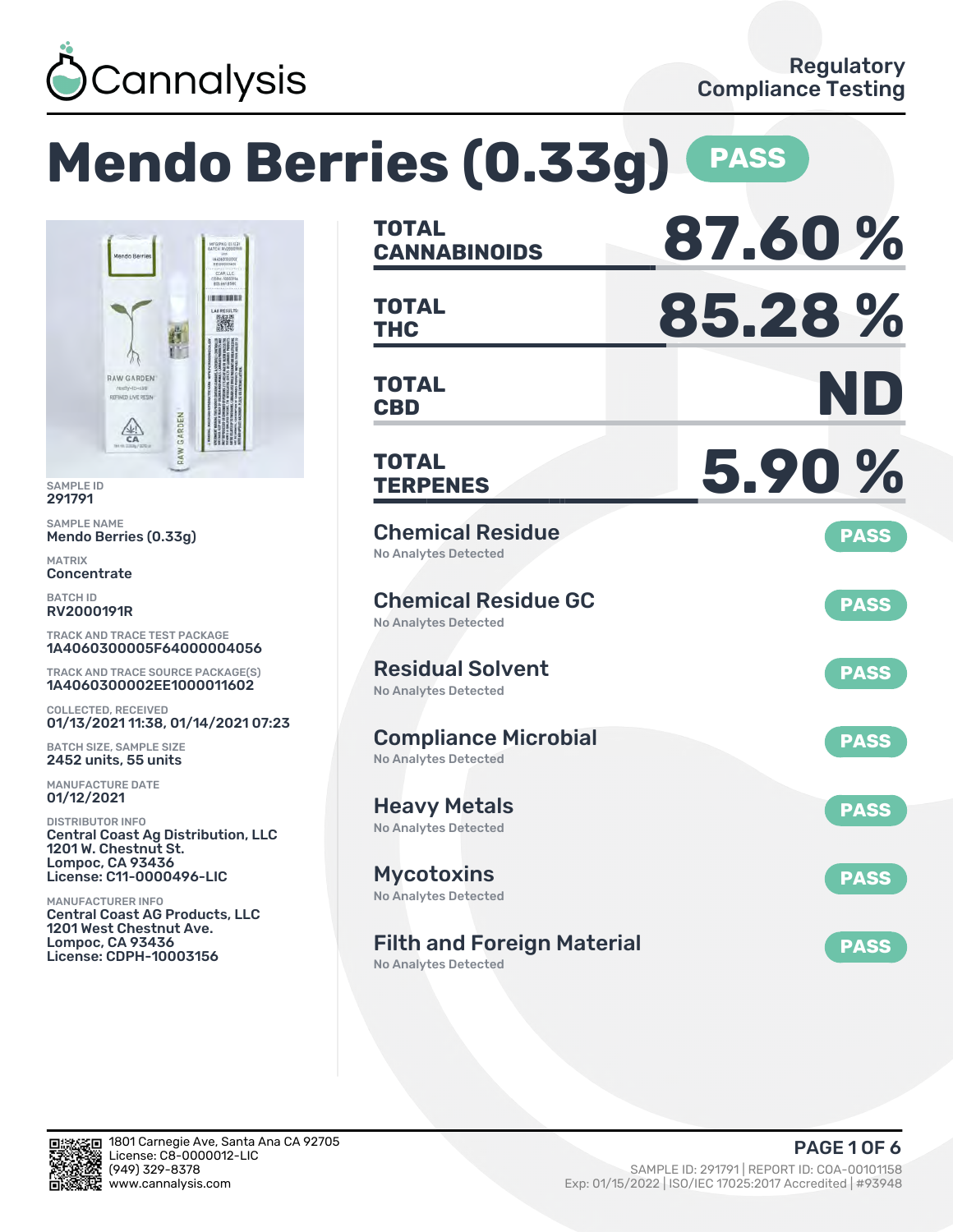

### **Mendo Berries (0.33g) PASS CANNABINOIDS 87.60 % TOTAL** CCAR LLS **BURINERS THC 85.28 % TOTAL** 濑 **CBD ND TOTAL TERPENES 5.90 % TOTAL** Chemical Residue **PASS** No Analytes Detected Chemical Residue GC **PASS** No Analytes Detected TRACK AND TRACE TEST PACKAGE 1A4060300005F64000004056 Residual Solvent TRACK AND TRACE SOURCE PACKAGE(S) **PASS** 1A4060300002EE1000011602 No Analytes Detected 01/13/2021 11:38, 01/14/2021 07:23 Compliance Microbial **PASS** No Analytes Detected Heavy Metals **PASS** No Analytes Detected Central Coast Ag Distribution, LLC License: C11-0000496-LIC Mycotoxins **PASS** No Analytes Detected Central Coast AG Products, LLC Filth and Foreign Material **PASS**

No Analytes Detected



SAMPLE ID 291791 SAMPLE NAME

MATRIX **Concentrate** BATCH ID RV2000191R

Mendo Berries (0.33g)

**RAW GARDEN** REPINED LIVE RESIN

 $\frac{\sqrt{2}}{50}$ 

GARDEN

COLLECTED, RECEIVED

BATCH SIZE, SAMPLE SIZE 2452 units, 55 units MANUFACTURE DATE 01/12/2021 DISTRIBUTOR INFO

1201 W. Chestnut St. Lompoc, CA 93436

1201 West Chestnut Ave. Lompoc, CA 93436 License: CDPH-10003156

MANUFACTURER INFO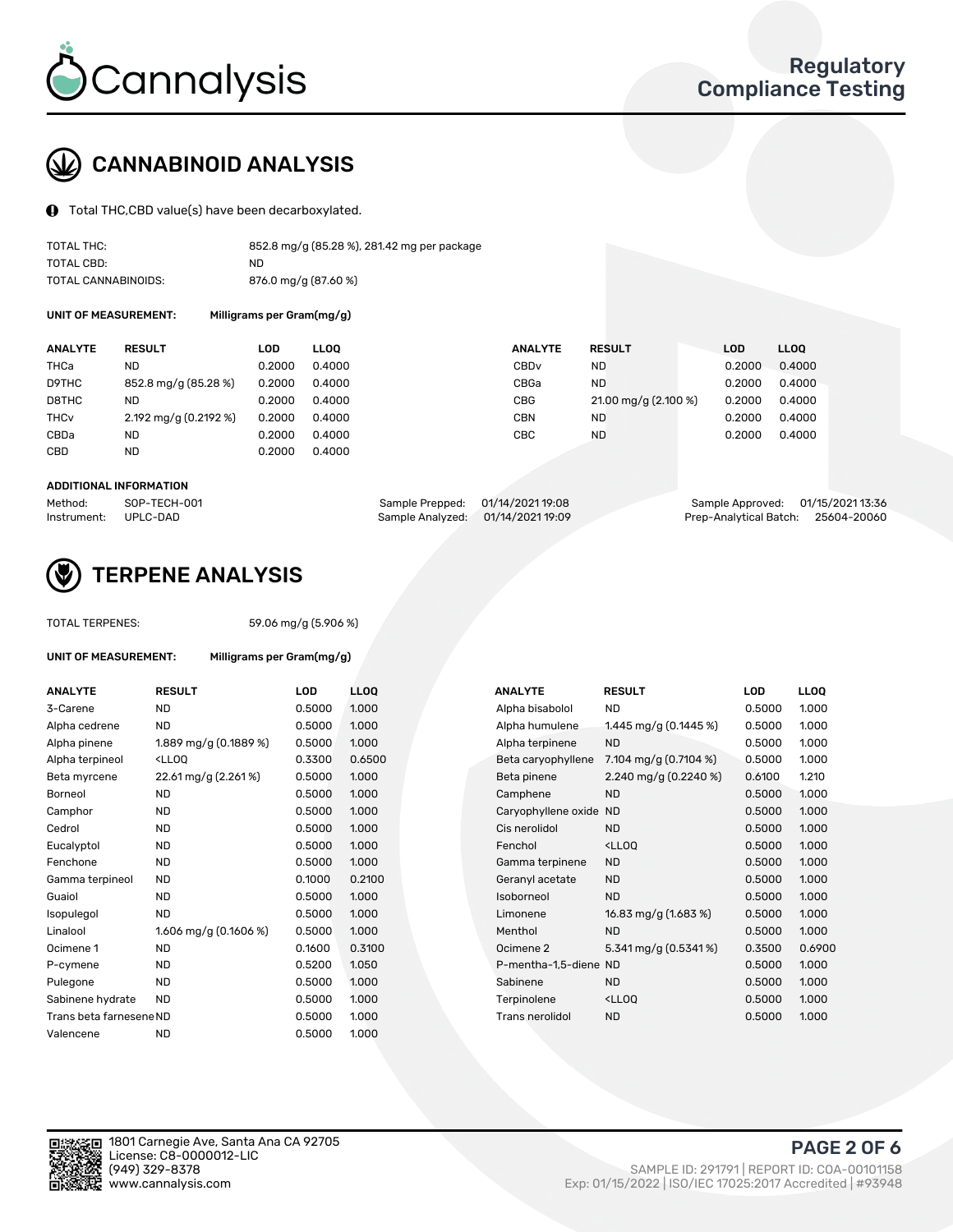

# CANNABINOID ANALYSIS

Total THC,CBD value(s) have been decarboxylated.

| TOTAL THC:          | 852.8 mg/g (85.28 %), 281.42 mg per package |
|---------------------|---------------------------------------------|
| TOTAL CBD:          | ND.                                         |
| TOTAL CANNABINOIDS: | 876.0 mg/g (87.60 %)                        |

UNIT OF MEASUREMENT: Milligrams per Gram(mg/g)

| <b>ANALYTE</b>         | <b>RESULT</b>         | LOD    | <b>LLOO</b> | <b>ANALYTE</b>   | <b>RESULT</b>        | <b>LOD</b> | <b>LLOO</b> |
|------------------------|-----------------------|--------|-------------|------------------|----------------------|------------|-------------|
| THCa                   | ND                    | 0.2000 | 0.4000      | CBD <sub>v</sub> | <b>ND</b>            | 0.2000     | 0.4000      |
| D9THC                  | 852.8 mg/g (85.28 %)  | 0.2000 | 0.4000      | CBGa             | <b>ND</b>            | 0.2000     | 0.4000      |
| D8THC                  | ND                    | 0.2000 | 0.4000      | <b>CBG</b>       | 21.00 mg/g (2.100 %) | 0.2000     | 0.4000      |
| <b>THC<sub>v</sub></b> | 2.192 mg/g (0.2192 %) | 0.2000 | 0.4000      | <b>CBN</b>       | ND                   | 0.2000     | 0.4000      |
| CBDa                   | ND                    | 0.2000 | 0.4000      | CBC              | <b>ND</b>            | 0.2000     | 0.4000      |
| CBD                    | <b>ND</b>             | 0.2000 | 0.4000      |                  |                      |            |             |
|                        |                       |        |             |                  |                      |            |             |

#### ADDITIONAL INFORMATION

| Method:              | SOP-TECH-001 | Sample Prepped: 01/14/2021 19:08  | Sample Approved: 01/15/2021 13:36  |  |
|----------------------|--------------|-----------------------------------|------------------------------------|--|
| Instrument: UPLC-DAD |              | Sample Analyzed: 01/14/2021 19:09 | Prep-Analytical Batch: 25604-20060 |  |



## TERPENE ANALYSIS

| UNIT OF MEASUREMENT: |               |
|----------------------|---------------|
| <b>ANALYTE</b>       | <b>RESULT</b> |

TOTAL TERPENES: 59.06 mg/g (5.906 %) Milligrams per Gram(mg/g)

| <b>ANALYTE</b>          | <b>RESULT</b>                                                                                                                                          | <b>LOD</b> | <b>LLOQ</b> | <b>ANALYTE</b>         | <b>RESULT</b>                                      | <b>LOD</b> | <b>LLOQ</b> |
|-------------------------|--------------------------------------------------------------------------------------------------------------------------------------------------------|------------|-------------|------------------------|----------------------------------------------------|------------|-------------|
| 3-Carene                | <b>ND</b>                                                                                                                                              | 0.5000     | 1.000       | Alpha bisabolol        | <b>ND</b>                                          | 0.5000     | 1.000       |
| Alpha cedrene           | <b>ND</b>                                                                                                                                              | 0.5000     | 1.000       | Alpha humulene         | 1.445 mg/g (0.1445 %)                              | 0.5000     | 1.000       |
| Alpha pinene            | 1.889 mg/g (0.1889 %)                                                                                                                                  | 0.5000     | 1.000       | Alpha terpinene        | <b>ND</b>                                          | 0.5000     | 1.000       |
| Alpha terpineol         | <lloq< td=""><td>0.3300</td><td>0.6500</td><td>Beta caryophyllene</td><td>7.104 mg/g <math>(0.7104\%)</math></td><td>0.5000</td><td>1.000</td></lloq<> | 0.3300     | 0.6500      | Beta caryophyllene     | 7.104 mg/g $(0.7104\%)$                            | 0.5000     | 1.000       |
| Beta myrcene            | 22.61 mg/g (2.261%)                                                                                                                                    | 0.5000     | 1.000       | Beta pinene            | 2.240 mg/g $(0.2240\%)$                            | 0.6100     | 1.210       |
| Borneol                 | <b>ND</b>                                                                                                                                              | 0.5000     | 1.000       | Camphene               | <b>ND</b>                                          | 0.5000     | 1.000       |
| Camphor                 | <b>ND</b>                                                                                                                                              | 0.5000     | 1.000       | Caryophyllene oxide ND |                                                    | 0.5000     | 1.000       |
| Cedrol                  | <b>ND</b>                                                                                                                                              | 0.5000     | 1.000       | Cis nerolidol          | <b>ND</b>                                          | 0.5000     | 1.000       |
| Eucalyptol              | <b>ND</b>                                                                                                                                              | 0.5000     | 1.000       | Fenchol                | <ll0q< td=""><td>0.5000</td><td>1.000</td></ll0q<> | 0.5000     | 1.000       |
| Fenchone                | <b>ND</b>                                                                                                                                              | 0.5000     | 1.000       | Gamma terpinene        | <b>ND</b>                                          | 0.5000     | 1.000       |
| Gamma terpineol         | <b>ND</b>                                                                                                                                              | 0.1000     | 0.2100      | Geranyl acetate        | <b>ND</b>                                          | 0.5000     | 1.000       |
| Guaiol                  | <b>ND</b>                                                                                                                                              | 0.5000     | 1.000       | Isoborneol             | <b>ND</b>                                          | 0.5000     | 1.000       |
| Isopulegol              | <b>ND</b>                                                                                                                                              | 0.5000     | 1.000       | Limonene               | 16.83 mg/g (1.683 %)                               | 0.5000     | 1.000       |
| Linalool                | 1.606 mg/g (0.1606 %)                                                                                                                                  | 0.5000     | 1.000       | Menthol                | <b>ND</b>                                          | 0.5000     | 1.000       |
| Ocimene 1               | <b>ND</b>                                                                                                                                              | 0.1600     | 0.3100      | Ocimene 2              | 5.341 mg/g (0.5341%)                               | 0.3500     | 0.6900      |
| P-cymene                | <b>ND</b>                                                                                                                                              | 0.5200     | 1.050       | P-mentha-1.5-diene ND  |                                                    | 0.5000     | 1.000       |
| Pulegone                | <b>ND</b>                                                                                                                                              | 0.5000     | 1.000       | Sabinene               | <b>ND</b>                                          | 0.5000     | 1.000       |
| Sabinene hydrate        | <b>ND</b>                                                                                                                                              | 0.5000     | 1.000       | Terpinolene            | <lloq< td=""><td>0.5000</td><td>1.000</td></lloq<> | 0.5000     | 1.000       |
| Trans beta farnesene ND |                                                                                                                                                        | 0.5000     | 1.000       | <b>Trans nerolidol</b> | <b>ND</b>                                          | 0.5000     | 1.000       |
| Valencene               | <b>ND</b>                                                                                                                                              | 0.5000     | 1.000       |                        |                                                    |            |             |

| <b>NALYTE</b>        | <b>RESULT</b>                                      | LOD    | LL <sub>OO</sub> |
|----------------------|----------------------------------------------------|--------|------------------|
| Ipha bisabolol       | <b>ND</b>                                          | 0.5000 | 1.000            |
| Ipha humulene        | 1.445 mg/g (0.1445 %)                              | 0.5000 | 1.000            |
| Ipha terpinene       | <b>ND</b>                                          | 0.5000 | 1.000            |
| leta caryophyllene   | 7.104 mg/g (0.7104 %)                              | 0.5000 | 1.000            |
| leta pinene          | 2.240 mg/g (0.2240 %)                              | 0.6100 | 1.210            |
| amphene:             | <b>ND</b>                                          | 0.5000 | 1.000            |
| aryophyllene oxide   | <b>ND</b>                                          | 0.5000 | 1.000            |
| is nerolidol:        | <b>ND</b>                                          | 0.5000 | 1.000            |
| enchol               | <lloq< td=""><td>0.5000</td><td>1.000</td></lloq<> | 0.5000 | 1.000            |
| amma terpinene       | <b>ND</b>                                          | 0.5000 | 1.000            |
| eranyl acetate       | <b>ND</b>                                          | 0.5000 | 1.000            |
| soborneol            | <b>ND</b>                                          | 0.5000 | 1.000            |
| imonene              | 16.83 mg/g (1.683 %)                               | 0.5000 | 1.000            |
| 1enthol              | <b>ND</b>                                          | 0.5000 | 1.000            |
| cimene 2             | 5.341 mg/g (0.5341%)                               | 0.3500 | 0.6900           |
| -mentha-1,5-diene ND |                                                    | 0.5000 | 1.000            |
| abinene              | <b>ND</b>                                          | 0.5000 | 1.000            |
| erpinolene           | <lloq< td=""><td>0.5000</td><td>1.000</td></lloq<> | 0.5000 | 1.000            |
| rans nerolidol       | <b>ND</b>                                          | 0.5000 | 1.000            |
|                      |                                                    |        |                  |

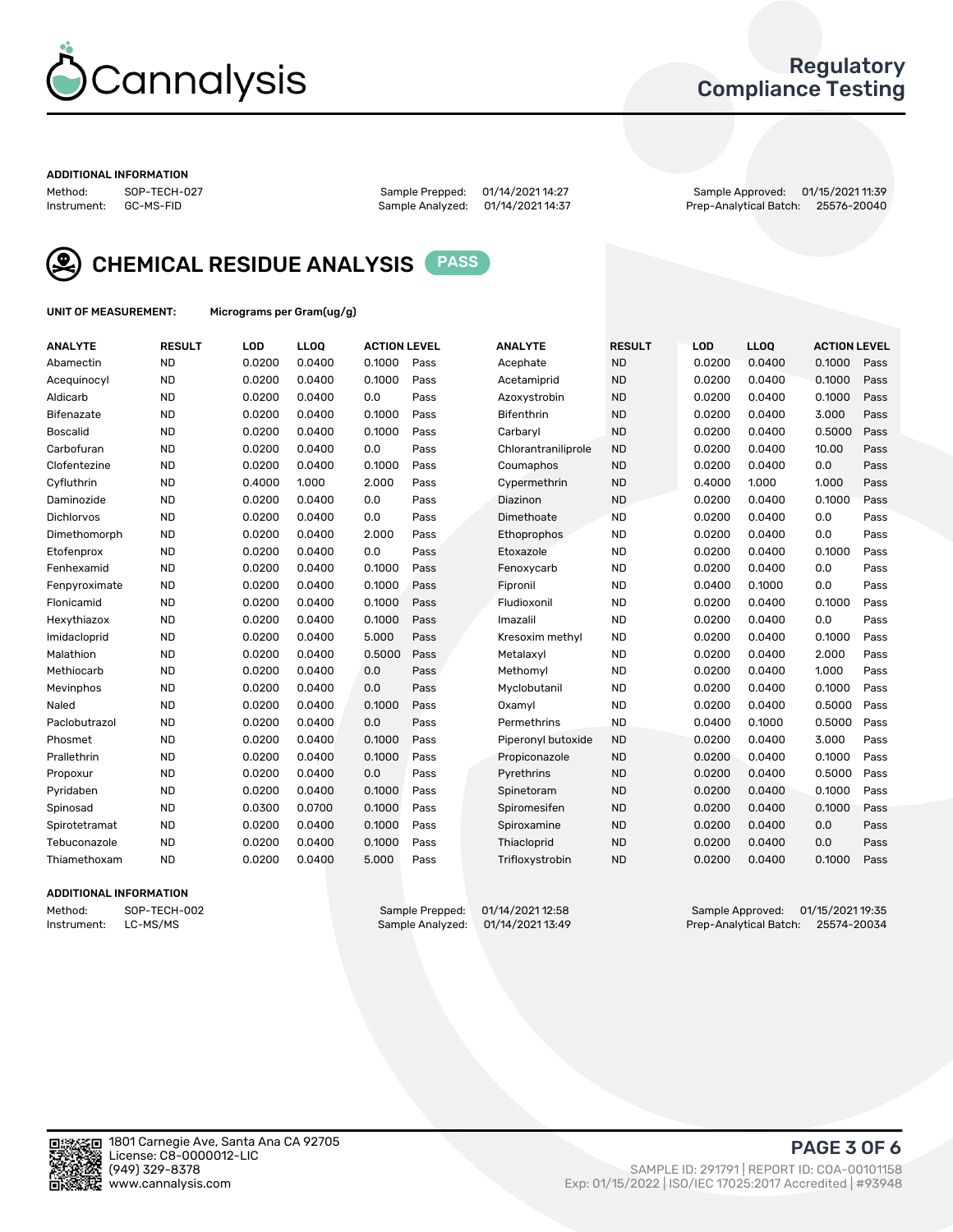

## Regulatory Compliance Testing

#### ADDITIONAL INFORMATION

Method: SOP-TECH-027 Sample Prepped: 01/14/2021 14:27 Sample Approved: 01/15/2021 11:39 Prep-Analytical Batch: 25576-20040



CHEMICAL RESIDUE ANALYSIS PASS

UNIT OF MEASUREMENT: Micrograms per Gram(ug/g)

| <b>ANALYTE</b>    | <b>RESULT</b> | LOD    | LL <sub>OO</sub> | <b>ACTION LEVEL</b> |      | <b>ANALYTE</b>      | <b>RESULT</b> | LOD    | <b>LLOQ</b> | <b>ACTION LEVEL</b> |      |
|-------------------|---------------|--------|------------------|---------------------|------|---------------------|---------------|--------|-------------|---------------------|------|
| Abamectin         | <b>ND</b>     | 0.0200 | 0.0400           | 0.1000              | Pass | Acephate            | <b>ND</b>     | 0.0200 | 0.0400      | 0.1000              | Pass |
| Acequinocyl       | <b>ND</b>     | 0.0200 | 0.0400           | 0.1000              | Pass | Acetamiprid         | <b>ND</b>     | 0.0200 | 0.0400      | 0.1000              | Pass |
| Aldicarb          | <b>ND</b>     | 0.0200 | 0.0400           | 0.0                 | Pass | Azoxystrobin        | <b>ND</b>     | 0.0200 | 0.0400      | 0.1000              | Pass |
| Bifenazate        | <b>ND</b>     | 0.0200 | 0.0400           | 0.1000              | Pass | <b>Bifenthrin</b>   | <b>ND</b>     | 0.0200 | 0.0400      | 3.000               | Pass |
| <b>Boscalid</b>   | <b>ND</b>     | 0.0200 | 0.0400           | 0.1000              | Pass | Carbarvl            | <b>ND</b>     | 0.0200 | 0.0400      | 0.5000              | Pass |
| Carbofuran        | <b>ND</b>     | 0.0200 | 0.0400           | 0.0                 | Pass | Chlorantraniliprole | <b>ND</b>     | 0.0200 | 0.0400      | 10.00               | Pass |
| Clofentezine      | <b>ND</b>     | 0.0200 | 0.0400           | 0.1000              | Pass | Coumaphos           | <b>ND</b>     | 0.0200 | 0.0400      | 0.0                 | Pass |
| Cyfluthrin        | <b>ND</b>     | 0.4000 | 1.000            | 2.000               | Pass | Cypermethrin        | <b>ND</b>     | 0.4000 | 1.000       | 1.000               | Pass |
| Daminozide        | <b>ND</b>     | 0.0200 | 0.0400           | 0.0                 | Pass | Diazinon            | <b>ND</b>     | 0.0200 | 0.0400      | 0.1000              | Pass |
| <b>Dichlorvos</b> | <b>ND</b>     | 0.0200 | 0.0400           | 0.0                 | Pass | Dimethoate          | <b>ND</b>     | 0.0200 | 0.0400      | 0.0                 | Pass |
| Dimethomorph      | <b>ND</b>     | 0.0200 | 0.0400           | 2.000               | Pass | <b>Ethoprophos</b>  | <b>ND</b>     | 0.0200 | 0.0400      | 0.0                 | Pass |
| Etofenprox        | <b>ND</b>     | 0.0200 | 0.0400           | 0.0                 | Pass | Etoxazole           | <b>ND</b>     | 0.0200 | 0.0400      | 0.1000              | Pass |
| Fenhexamid        | <b>ND</b>     | 0.0200 | 0.0400           | 0.1000              | Pass | Fenoxycarb          | <b>ND</b>     | 0.0200 | 0.0400      | 0.0                 | Pass |
| Fenpyroximate     | <b>ND</b>     | 0.0200 | 0.0400           | 0.1000              | Pass | Fipronil            | <b>ND</b>     | 0.0400 | 0.1000      | 0.0                 | Pass |
| Flonicamid        | <b>ND</b>     | 0.0200 | 0.0400           | 0.1000              | Pass | Fludioxonil         | <b>ND</b>     | 0.0200 | 0.0400      | 0.1000              | Pass |
| Hexythiazox       | <b>ND</b>     | 0.0200 | 0.0400           | 0.1000              | Pass | Imazalil            | <b>ND</b>     | 0.0200 | 0.0400      | 0.0                 | Pass |
| Imidacloprid      | <b>ND</b>     | 0.0200 | 0.0400           | 5.000               | Pass | Kresoxim methyl     | <b>ND</b>     | 0.0200 | 0.0400      | 0.1000              | Pass |
| Malathion         | <b>ND</b>     | 0.0200 | 0.0400           | 0.5000              | Pass | Metalaxvl           | <b>ND</b>     | 0.0200 | 0.0400      | 2.000               | Pass |
| Methiocarb        | <b>ND</b>     | 0.0200 | 0.0400           | 0.0                 | Pass | Methomyl            | <b>ND</b>     | 0.0200 | 0.0400      | 1.000               | Pass |
| Mevinphos         | <b>ND</b>     | 0.0200 | 0.0400           | 0.0                 | Pass | Myclobutanil        | <b>ND</b>     | 0.0200 | 0.0400      | 0.1000              | Pass |
| Naled             | <b>ND</b>     | 0.0200 | 0.0400           | 0.1000              | Pass | Oxamyl              | <b>ND</b>     | 0.0200 | 0.0400      | 0.5000              | Pass |
| Paclobutrazol     | <b>ND</b>     | 0.0200 | 0.0400           | 0.0                 | Pass | Permethrins         | <b>ND</b>     | 0.0400 | 0.1000      | 0.5000              | Pass |
| Phosmet           | <b>ND</b>     | 0.0200 | 0.0400           | 0.1000              | Pass | Piperonyl butoxide  | <b>ND</b>     | 0.0200 | 0.0400      | 3.000               | Pass |
| Prallethrin       | <b>ND</b>     | 0.0200 | 0.0400           | 0.1000              | Pass | Propiconazole       | <b>ND</b>     | 0.0200 | 0.0400      | 0.1000              | Pass |
| Propoxur          | <b>ND</b>     | 0.0200 | 0.0400           | 0.0                 | Pass | Pyrethrins          | <b>ND</b>     | 0.0200 | 0.0400      | 0.5000              | Pass |
| Pyridaben         | <b>ND</b>     | 0.0200 | 0.0400           | 0.1000              | Pass | Spinetoram          | <b>ND</b>     | 0.0200 | 0.0400      | 0.1000              | Pass |
| Spinosad          | <b>ND</b>     | 0.0300 | 0.0700           | 0.1000              | Pass | Spiromesifen        | <b>ND</b>     | 0.0200 | 0.0400      | 0.1000              | Pass |
| Spirotetramat     | <b>ND</b>     | 0.0200 | 0.0400           | 0.1000              | Pass | Spiroxamine         | <b>ND</b>     | 0.0200 | 0.0400      | 0.0                 | Pass |
| Tebuconazole      | <b>ND</b>     | 0.0200 | 0.0400           | 0.1000              | Pass | Thiacloprid         | <b>ND</b>     | 0.0200 | 0.0400      | 0.0                 | Pass |
| Thiamethoxam      | <b>ND</b>     | 0.0200 | 0.0400           | 5.000               | Pass | Trifloxystrobin     | <b>ND</b>     | 0.0200 | 0.0400      | 0.1000              | Pass |

### ADDITIONAL INFORMATION

Method: SOP-TECH-002 Sample Prepped: 01/14/2021 12:58 Sample Approved: 01/15/2021 19:35<br>Instrument: LC-MS/MS Sample Analyzed: 01/14/2021 13:49 Prep-Analytical Batch: 25574-20034 Prep-Analytical Batch: 25574-20034

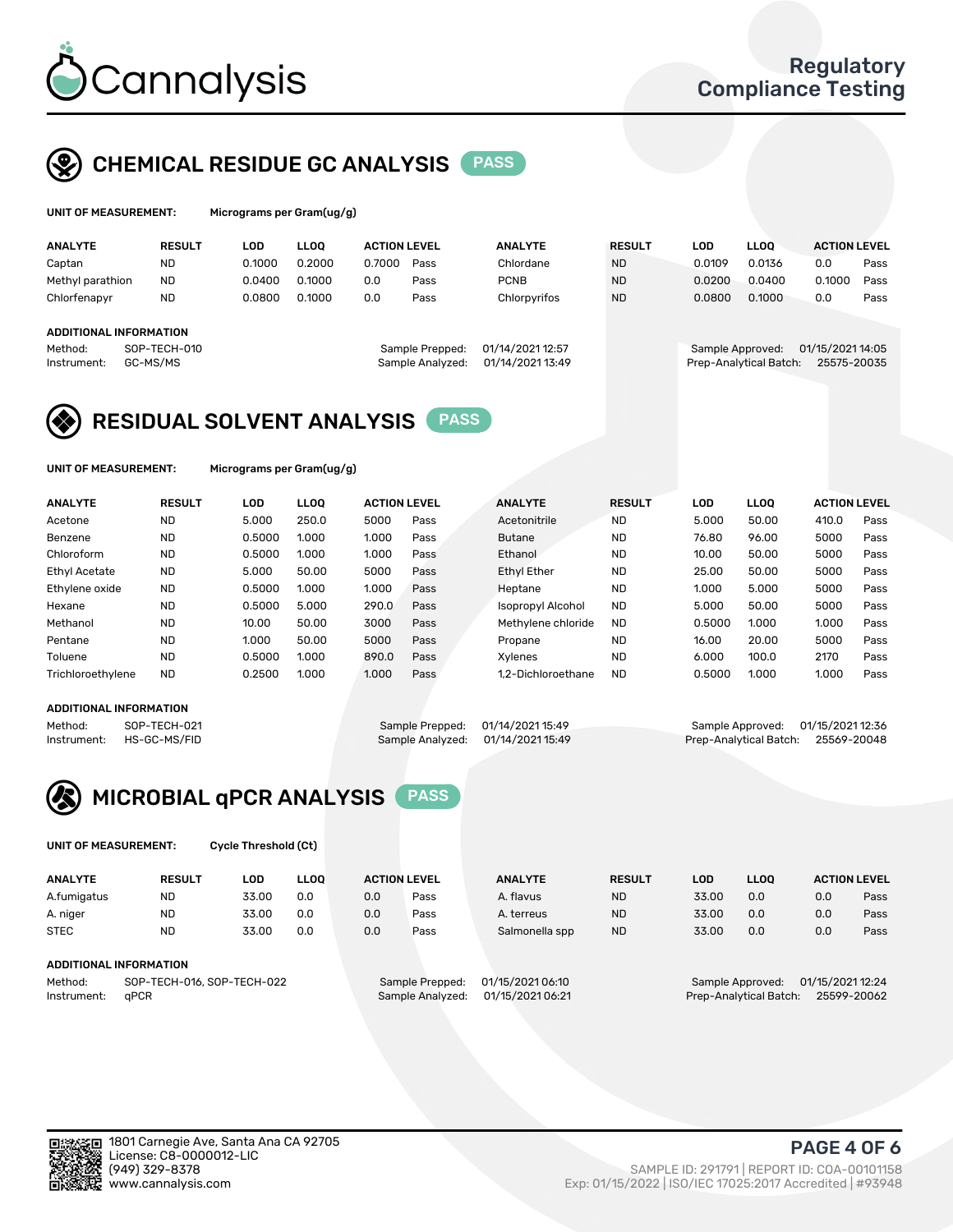

## CHEMICAL RESIDUE GC ANALYSIS PASS

| UNIT OF MEASUREMENT: |               |         | Micrograms per Gram(ug/g) |                     |      |                |               |         |             |                     |      |
|----------------------|---------------|---------|---------------------------|---------------------|------|----------------|---------------|---------|-------------|---------------------|------|
| <b>ANALYTE</b>       | <b>RESUL1</b> | LOD     | <b>LOO</b>                | <b>ACTION LEVEL</b> |      | <b>ANALYTE</b> | <b>RESULT</b> | ∟OD     | <b>LLOO</b> | <b>ACTION LEVEL</b> |      |
| `antan               | ΝГ            | N 1000. | n 2000                    | 0.7000              | Pass | Chlordane.     | NГ            | N UJU U | 0.0136      |                     | Pass |

| Captan<br>Methyl parathion<br>Chlorfenapyr       | <b>ND</b><br><b>ND</b><br>ND. | 0.1000<br>0.0400<br>0.0800 | 0.2000<br>0.1000<br>0.1000 | 0.7000<br>0.0<br>0.0 | Pass<br>Pass<br>Pass                | Chlordane<br><b>PCNB</b><br>Chlorpyrifos | <b>ND</b><br><b>ND</b><br><b>ND</b> | 0.0109<br>0.0200<br>0.0800 | 0.0136<br>0.0400<br>0.1000 | 0.0<br>0.0       | 0.1000 | Pass<br>Pass<br>Pass |
|--------------------------------------------------|-------------------------------|----------------------------|----------------------------|----------------------|-------------------------------------|------------------------------------------|-------------------------------------|----------------------------|----------------------------|------------------|--------|----------------------|
| ADDITIONAL INFORMATION<br>Method:<br>Instrument: | SOP-TECH-010<br>GC-MS/MS      |                            |                            |                      | Sample Prepped:<br>Sample Analyzed: | 01/14/2021 12:57<br>01/14/2021 13:49     |                                     | Sample Approved:           | Prep-Analytical Batch:     | 01/15/2021 14:05 |        | 25575-20035          |

## RESIDUAL SOLVENT ANALYSIS PASS

UNIT OF MEASUREMENT: Micrograms per Gram(ug/g)

| <b>ANALYTE</b>       | <b>RESULT</b> | <b>LOD</b> | <b>LLOO</b> | <b>ACTION LEVEL</b> |      | <b>ANALYTE</b>           | <b>RESULT</b> | <b>LOD</b> | <b>LLOO</b> | <b>ACTION LEVEL</b> |      |
|----------------------|---------------|------------|-------------|---------------------|------|--------------------------|---------------|------------|-------------|---------------------|------|
| Acetone              | <b>ND</b>     | 5.000      | 250.0       | 5000                | Pass | Acetonitrile             | <b>ND</b>     | 5.000      | 50.00       | 410.0               | Pass |
| Benzene              | <b>ND</b>     | 0.5000     | 1.000       | 1.000               | Pass | <b>Butane</b>            | <b>ND</b>     | 76.80      | 96.00       | 5000                | Pass |
| Chloroform           | <b>ND</b>     | 0.5000     | 1.000       | 1.000               | Pass | Ethanol                  | <b>ND</b>     | 10.00      | 50.00       | 5000                | Pass |
| <b>Ethyl Acetate</b> | <b>ND</b>     | 5.000      | 50.00       | 5000                | Pass | <b>Ethyl Ether</b>       | <b>ND</b>     | 25.00      | 50.00       | 5000                | Pass |
| Ethylene oxide       | <b>ND</b>     | 0.5000     | 1.000       | 1.000               | Pass | Heptane                  | <b>ND</b>     | 1.000      | 5.000       | 5000                | Pass |
| Hexane               | <b>ND</b>     | 0.5000     | 5.000       | 290.0               | Pass | <b>Isopropyl Alcohol</b> | <b>ND</b>     | 5.000      | 50.00       | 5000                | Pass |
| Methanol             | <b>ND</b>     | 10.00      | 50.00       | 3000                | Pass | Methylene chloride       | <b>ND</b>     | 0.5000     | 1.000       | 1.000               | Pass |
| Pentane              | <b>ND</b>     | 1.000      | 50.00       | 5000                | Pass | Propane                  | <b>ND</b>     | 16.00      | 20.00       | 5000                | Pass |
| Toluene              | <b>ND</b>     | 0.5000     | 1.000       | 890.0               | Pass | Xvlenes                  | <b>ND</b>     | 6.000      | 100.0       | 2170                | Pass |
| Trichloroethylene    | <b>ND</b>     | 0.2500     | 1.000       | 1.000               | Pass | 1.2-Dichloroethane       | <b>ND</b>     | 0.5000     | 1.000       | 1.000               | Pass |

### ADDITIONAL INFORMATION

Method: SOP-TECH-021 Sample Prepped: 01/14/2021 15:49 Sample Approved: 01/15/2021 12:36<br>Instrument: HS-GC-MS/FID Sample Analyzed: 01/14/2021 15:49 Prep-Analytical Batch: 25569-20048 Prep-Analytical Batch: 25569-20048



UNIT OF MEASUREMENT: Cycle Threshold (Ct)

| <b>ANALYTE</b>                        | <b>RESULT</b>          | LOD   | <b>LLOO</b> | <b>ACTION LEVEL</b> |                  | <b>ANALYTE</b> | <b>RESULT</b> | LOD              | <b>LLOO</b>      |     | <b>ACTION LEVEL</b> |
|---------------------------------------|------------------------|-------|-------------|---------------------|------------------|----------------|---------------|------------------|------------------|-----|---------------------|
| A.fumigatus                           | <b>ND</b>              | 33.00 | 0.0         | 0.0                 | Pass             | A. flavus      | <b>ND</b>     | 33.00            | 0.0              | 0.0 | Pass                |
| A. niger                              | <b>ND</b>              | 33.00 | 0.0         | 0.0                 | Pass             | A. terreus     | <b>ND</b>     | 33.00            | 0.0              | 0.0 | Pass                |
| <b>STEC</b>                           | <b>ND</b>              | 33.00 | 0.0         | 0.0                 | Pass             | Salmonella spp | <b>ND</b>     | 33.00            | 0.0              | 0.0 | Pass                |
|                                       | ADDITIONAL INFORMATION |       |             |                     |                  |                |               |                  |                  |     |                     |
| SOP-TECH-016, SOP-TECH-022<br>Method: |                        |       |             | Sample Prepped:     | 01/15/2021 06:10 |                |               | Sample Approved: | 01/15/2021 12:24 |     |                     |

Instrument: qPCR Sample Analyzed: 01/15/2021 06:21 Prep-Analytical Batch: 25599-20062



(949) 329-8378 SAMPLE ID: 291791 | REPORT ID: COA-00101158 Exp: 01/15/2022 | ISO/IEC 17025:2017 Accredited | #93948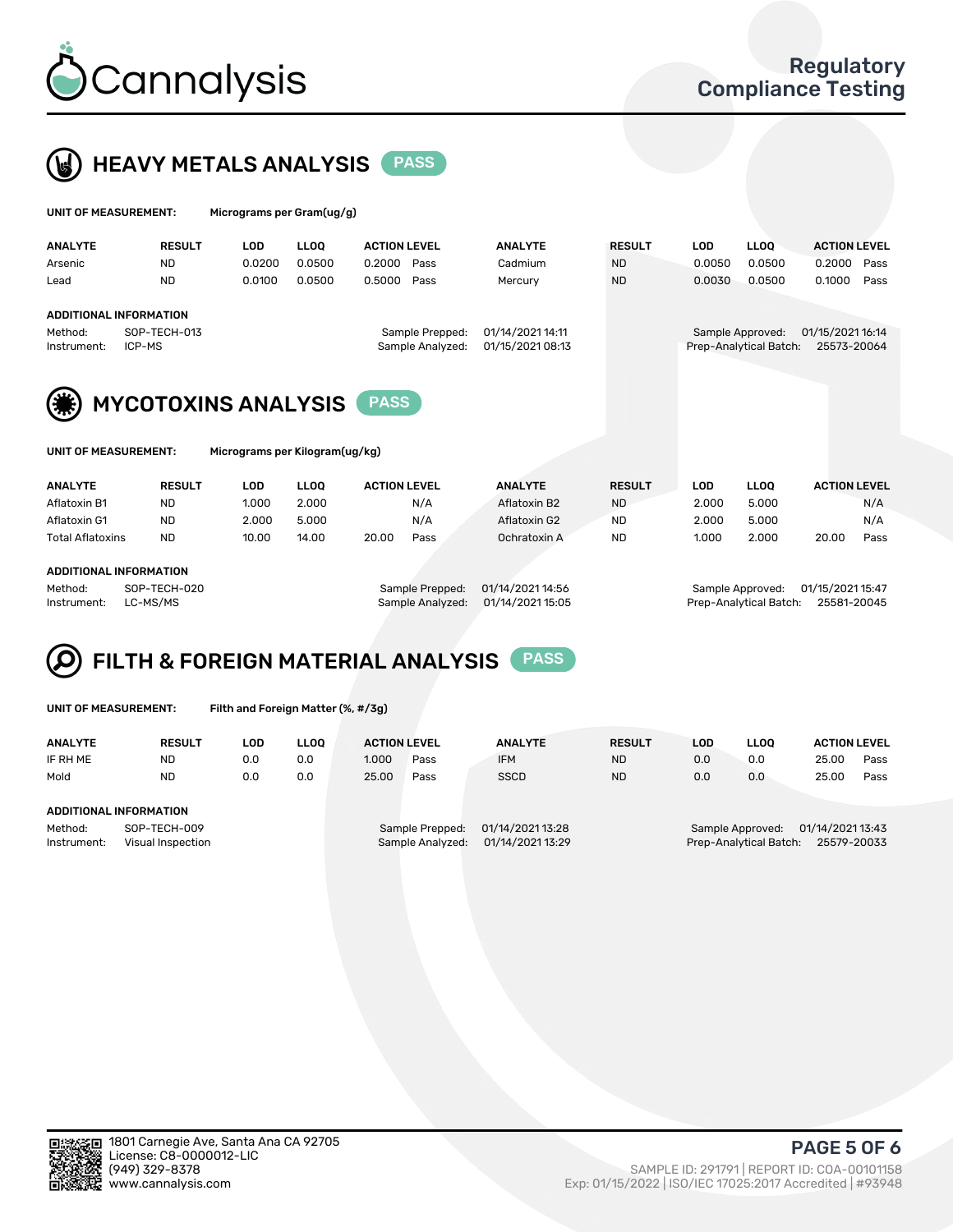



| UNIT OF MEASUREMENT: |               |        | Micrograms per Gram(ug/g) |                     |                |               |  |            |             |                     |  |  |
|----------------------|---------------|--------|---------------------------|---------------------|----------------|---------------|--|------------|-------------|---------------------|--|--|
| <b>ANALYTE</b>       | <b>RESULT</b> | LOD    | LLOO                      | <b>ACTION LEVEL</b> | <b>ANALYTE</b> | <b>RESULT</b> |  | <b>LOD</b> | <b>LLOO</b> | <b>ACTION LEVEL</b> |  |  |
| Arsenic              | <b>ND</b>     | 0.0200 | 0.0500                    | 0.2000<br>Pass      | Cadmium        | <b>ND</b>     |  | 0.0050     | 0.0500      | 0.2000<br>Pass      |  |  |

### ADDITIONAL INFORMATION Method: SOP-TECH-013 Sample Prepped: 01/14/2021 14:11 Sample Approved: 01/15/2021 16:14 Instrument: ICP-MS Sample Analyzed: 01/15/2021 08:13 Prep-Analytical Batch: 25573-20064

Lead ND 0.0100 0.0500 0.5000 Pass Mercury ND 0.0030 0.0500 0.1000 Pass



| UNIT OF MEASUREMENT: |  |  |
|----------------------|--|--|
|                      |  |  |

| UNIT OF MEASUREMENT: | Micrograms per Kilogram(ug/kg) |
|----------------------|--------------------------------|
|                      |                                |
|                      |                                |
|                      |                                |

| <b>ANALYTE</b>          | <b>RESULT</b> | LOD   | <b>LLOO</b> | <b>ACTION LEVEL</b> |      | <b>ANALYTE</b> | <b>RESULT</b> | LOD   | <b>LLOO</b> | <b>ACTION LEVEL</b> |      |
|-------------------------|---------------|-------|-------------|---------------------|------|----------------|---------------|-------|-------------|---------------------|------|
| Aflatoxin B1            | <b>ND</b>     | 1.000 | 2.000       |                     | N/A  | Aflatoxin B2   | <b>ND</b>     | 2.000 | 5.000       |                     | N/A  |
| Aflatoxin G1            | <b>ND</b>     | 2.000 | 5.000       |                     | N/A  | Aflatoxin G2   | <b>ND</b>     | 2.000 | 5.000       |                     | N/A  |
| <b>Total Aflatoxins</b> | <b>ND</b>     | 10.00 | 14.00       | 20.00               | Pass | Ochratoxin A   | <b>ND</b>     | 1.000 | 2.000       | 20.00               | Pass |
|                         |               |       |             |                     |      |                |               |       |             |                     |      |

#### ADDITIONAL INFORMATION

Method: SOP-TECH-020 Sample Prepped: 01/14/2021 14:56 Sample Approved: 01/15/2021 15:47 Instrument: LC-MS/MS Sample Analyzed: 01/14/2021 15:05 Prep-Analytical Batch: 25581-20045

# FILTH & FOREIGN MATERIAL ANALYSIS PASS

UNIT OF MEASUREMENT: Filth and Foreign Matter (%, #/3g)

| <b>ANALYTE</b>                                              | <b>RESULT</b> | LOD | <b>LLOO</b> | <b>ACTION LEVEL</b> |                                     | <b>ANALYTE</b>                       | <b>RESULT</b> | LOD | <b>LLOO</b>                                | <b>ACTION LEVEL</b>             |      |
|-------------------------------------------------------------|---------------|-----|-------------|---------------------|-------------------------------------|--------------------------------------|---------------|-----|--------------------------------------------|---------------------------------|------|
| IF RH ME                                                    | <b>ND</b>     | 0.0 | 0.0         | 1.000               | Pass                                | <b>IFM</b>                           | <b>ND</b>     | 0.0 | 0.0                                        | 25.00                           | Pass |
| Mold                                                        | <b>ND</b>     | 0.0 | 0.0         | 25.00               | Pass                                | <b>SSCD</b>                          | <b>ND</b>     | 0.0 | 0.0                                        | 25.00                           | Pass |
| ADDITIONAL INFORMATION                                      |               |     |             |                     |                                     |                                      |               |     |                                            |                                 |      |
| Method:<br>SOP-TECH-009<br>Instrument:<br>Visual Inspection |               |     |             |                     | Sample Prepped:<br>Sample Analyzed: | 01/14/2021 13:28<br>01/14/2021 13:29 |               |     | Sample Approved:<br>Prep-Analytical Batch: | 01/14/2021 13:43<br>25579-20033 |      |